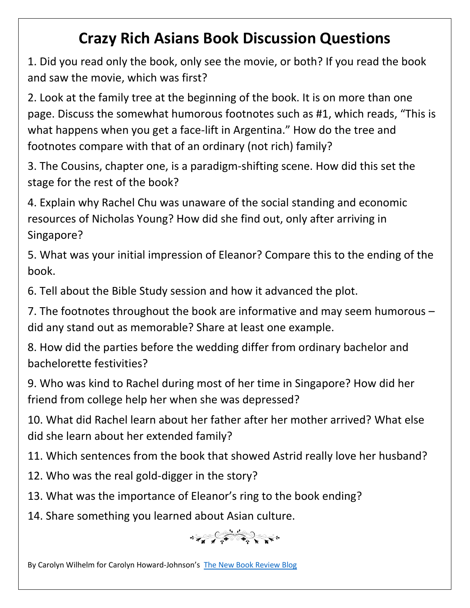## **Crazy Rich Asians Book Discussion Questions**

1. Did you read only the book, only see the movie, or both? If you read the book and saw the movie, which was first?

2. Look at the family tree at the beginning of the book. It is on more than one page. Discuss the somewhat humorous footnotes such as #1, which reads, "This is what happens when you get a face-lift in Argentina." How do the tree and footnotes compare with that of an ordinary (not rich) family?

3. The Cousins, chapter one, is a paradigm-shifting scene. How did this set the stage for the rest of the book?

4. Explain why Rachel Chu was unaware of the social standing and economic resources of Nicholas Young? How did she find out, only after arriving in Singapore?

5. What was your initial impression of Eleanor? Compare this to the ending of the book.

6. Tell about the Bible Study session and how it advanced the plot.

7. The footnotes throughout the book are informative and may seem humorous – did any stand out as memorable? Share at least one example.

8. How did the parties before the wedding differ from ordinary bachelor and bachelorette festivities?

9. Who was kind to Rachel during most of her time in Singapore? How did her friend from college help her when she was depressed?

10. What did Rachel learn about her father after her mother arrived? What else did she learn about her extended family?

11. Which sentences from the book that showed Astrid really love her husband?

- 12. Who was the real gold-digger in the story?
- 13. What was the importance of Eleanor's ring to the book ending?

14. Share something you learned about Asian culture.